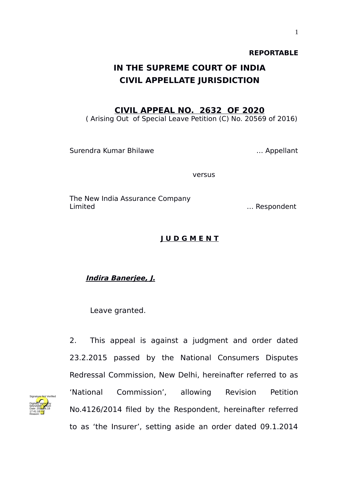#### **REPORTABLE**

# **IN THE SUPREME COURT OF INDIA CIVIL APPELLATE JURISDICTION**

## **CIVIL APPEAL NO. 2632 OF 2020**

( Arising Out of Special Leave Petition (C) No. 20569 of 2016)

Surendra Kumar Bhilawe **Exercise 2018** Manus 2018. Appellant

versus

The New India Assurance Company Limited … Respondent

## **J U D G M E N T**

### **Indira Banerjee, J.**

Leave granted.

Digitally signed by MÁHABI<mark>R SI</mark>NGH Date: 2020.06.18 17:41:18<sup>1S</sup> Reason:

Signature Not Verified

2. This appeal is against a judgment and order dated 23.2.2015 passed by the National Consumers Disputes Redressal Commission, New Delhi, hereinafter referred to as 'National Commission', allowing Revision Petition No.4126/2014 filed by the Respondent, hereinafter referred to as 'the Insurer', setting aside an order dated 09.1.2014

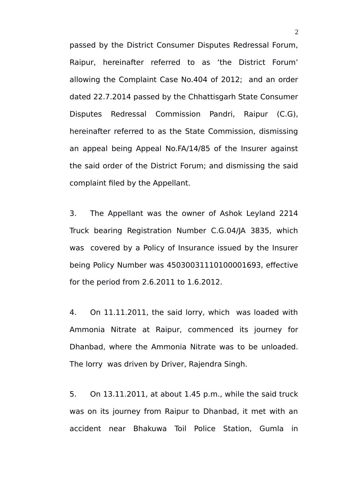passed by the District Consumer Disputes Redressal Forum, Raipur, hereinafter referred to as 'the District Forum' allowing the Complaint Case No.404 of 2012; and an order dated 22.7.2014 passed by the Chhattisgarh State Consumer Disputes Redressal Commission Pandri, Raipur (C.G), hereinafter referred to as the State Commission, dismissing an appeal being Appeal No.FA/14/85 of the Insurer against the said order of the District Forum; and dismissing the said complaint filed by the Appellant.

3. The Appellant was the owner of Ashok Leyland 2214 Truck bearing Registration Number C.G.04/JA 3835, which was covered by a Policy of Insurance issued by the Insurer being Policy Number was 45030031110100001693, effective for the period from 2.6.2011 to 1.6.2012.

4. On 11.11.2011, the said lorry, which was loaded with Ammonia Nitrate at Raipur, commenced its journey for Dhanbad, where the Ammonia Nitrate was to be unloaded. The lorry was driven by Driver, Rajendra Singh.

5. On 13.11.2011, at about 1.45 p.m., while the said truck was on its journey from Raipur to Dhanbad, it met with an accident near Bhakuwa Toil Police Station, Gumla in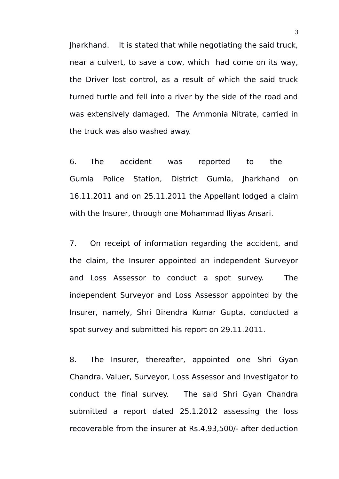Jharkhand. It is stated that while negotiating the said truck, near a culvert, to save a cow, which had come on its way, the Driver lost control, as a result of which the said truck turned turtle and fell into a river by the side of the road and was extensively damaged. The Ammonia Nitrate, carried in the truck was also washed away.

6. The accident was reported to the Gumla Police Station, District Gumla, Jharkhand on 16.11.2011 and on 25.11.2011 the Appellant lodged a claim with the Insurer, through one Mohammad Iliyas Ansari.

7. On receipt of information regarding the accident, and the claim, the Insurer appointed an independent Surveyor and Loss Assessor to conduct a spot survey. The independent Surveyor and Loss Assessor appointed by the Insurer, namely, Shri Birendra Kumar Gupta, conducted a spot survey and submitted his report on 29.11.2011.

8. The Insurer, thereafter, appointed one Shri Gyan Chandra, Valuer, Surveyor, Loss Assessor and Investigator to conduct the final survey. The said Shri Gyan Chandra submitted a report dated 25.1.2012 assessing the loss recoverable from the insurer at Rs.4,93,500/- after deduction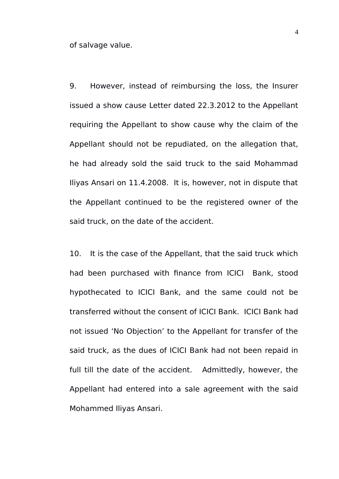of salvage value.

9. However, instead of reimbursing the loss, the Insurer issued a show cause Letter dated 22.3.2012 to the Appellant requiring the Appellant to show cause why the claim of the Appellant should not be repudiated, on the allegation that, he had already sold the said truck to the said Mohammad Iliyas Ansari on 11.4.2008. It is, however, not in dispute that the Appellant continued to be the registered owner of the said truck, on the date of the accident.

10. It is the case of the Appellant, that the said truck which had been purchased with finance from ICICI Bank, stood hypothecated to ICICI Bank, and the same could not be transferred without the consent of ICICI Bank. ICICI Bank had not issued 'No Objection' to the Appellant for transfer of the said truck, as the dues of ICICI Bank had not been repaid in full till the date of the accident. Admittedly, however, the Appellant had entered into a sale agreement with the said Mohammed Iliyas Ansari.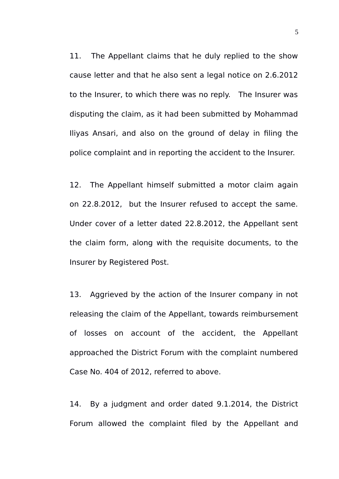11. The Appellant claims that he duly replied to the show cause letter and that he also sent a legal notice on 2.6.2012 to the Insurer, to which there was no reply. The Insurer was disputing the claim, as it had been submitted by Mohammad Iliyas Ansari, and also on the ground of delay in filing the police complaint and in reporting the accident to the Insurer.

12. The Appellant himself submitted a motor claim again on 22.8.2012, but the Insurer refused to accept the same. Under cover of a letter dated 22.8.2012, the Appellant sent the claim form, along with the requisite documents, to the Insurer by Registered Post.

13. Aggrieved by the action of the Insurer company in not releasing the claim of the Appellant, towards reimbursement of losses on account of the accident, the Appellant approached the District Forum with the complaint numbered Case No. 404 of 2012, referred to above.

14. By a judgment and order dated 9.1.2014, the District Forum allowed the complaint filed by the Appellant and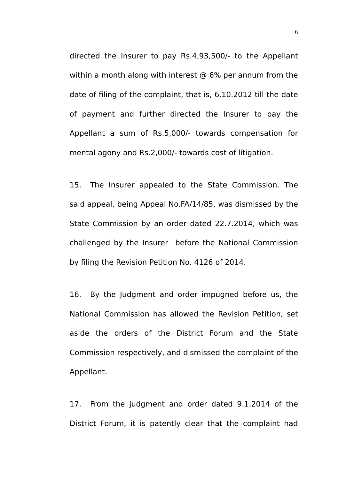directed the Insurer to pay Rs.4,93,500/- to the Appellant within a month along with interest  $\odot$  6% per annum from the date of filing of the complaint, that is, 6.10.2012 till the date of payment and further directed the Insurer to pay the Appellant a sum of Rs.5,000/- towards compensation for mental agony and Rs.2,000/- towards cost of litigation.

15. The Insurer appealed to the State Commission. The said appeal, being Appeal No.FA/14/85, was dismissed by the State Commission by an order dated 22.7.2014, which was challenged by the Insurer before the National Commission by filing the Revision Petition No. 4126 of 2014.

16. By the Judgment and order impugned before us, the National Commission has allowed the Revision Petition, set aside the orders of the District Forum and the State Commission respectively, and dismissed the complaint of the Appellant.

17. From the judgment and order dated 9.1.2014 of the District Forum, it is patently clear that the complaint had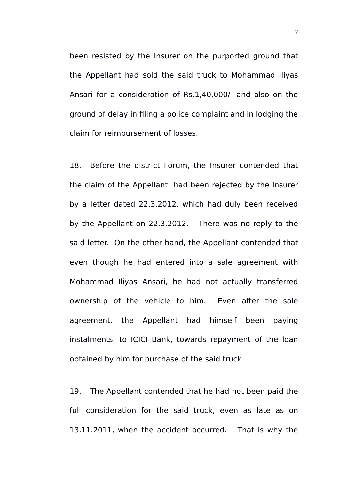been resisted by the Insurer on the purported ground that the Appellant had sold the said truck to Mohammad Iliyas Ansari for a consideration of Rs.1,40,000/- and also on the ground of delay in filing a police complaint and in lodging the claim for reimbursement of losses.

18. Before the district Forum, the Insurer contended that the claim of the Appellant had been rejected by the Insurer by a letter dated 22.3.2012, which had duly been received by the Appellant on 22.3.2012. There was no reply to the said letter. On the other hand, the Appellant contended that even though he had entered into a sale agreement with Mohammad Iliyas Ansari, he had not actually transferred ownership of the vehicle to him. Even after the sale agreement, the Appellant had himself been paying instalments, to ICICI Bank, towards repayment of the loan obtained by him for purchase of the said truck.

19. The Appellant contended that he had not been paid the full consideration for the said truck, even as late as on 13.11.2011, when the accident occurred. That is why the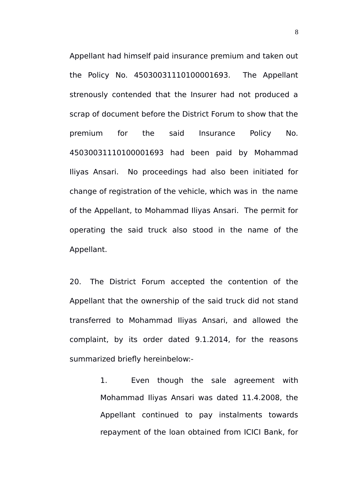Appellant had himself paid insurance premium and taken out the Policy No. 45030031110100001693. The Appellant strenously contended that the Insurer had not produced a scrap of document before the District Forum to show that the premium for the said Insurance Policy No. 45030031110100001693 had been paid by Mohammad Iliyas Ansari. No proceedings had also been initiated for change of registration of the vehicle, which was in the name of the Appellant, to Mohammad Iliyas Ansari. The permit for operating the said truck also stood in the name of the Appellant.

20. The District Forum accepted the contention of the Appellant that the ownership of the said truck did not stand transferred to Mohammad Iliyas Ansari, and allowed the complaint, by its order dated 9.1.2014, for the reasons summarized briefly hereinbelow:-

> 1. Even though the sale agreement with Mohammad Iliyas Ansari was dated 11.4.2008, the Appellant continued to pay instalments towards repayment of the loan obtained from ICICI Bank, for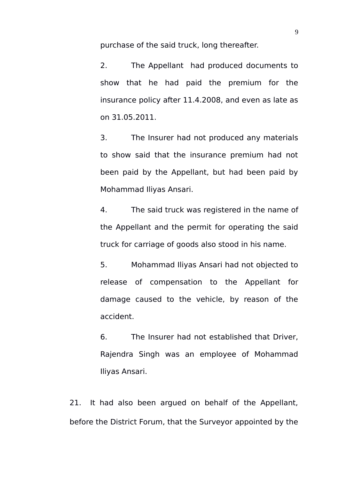purchase of the said truck, long thereafter.

2. The Appellant had produced documents to show that he had paid the premium for the insurance policy after 11.4.2008, and even as late as on 31.05.2011.

3. The Insurer had not produced any materials to show said that the insurance premium had not been paid by the Appellant, but had been paid by Mohammad Iliyas Ansari.

4. The said truck was registered in the name of the Appellant and the permit for operating the said truck for carriage of goods also stood in his name.

5. Mohammad Iliyas Ansari had not objected to release of compensation to the Appellant for damage caused to the vehicle, by reason of the accident.

6. The Insurer had not established that Driver, Rajendra Singh was an employee of Mohammad Iliyas Ansari.

21. It had also been argued on behalf of the Appellant, before the District Forum, that the Surveyor appointed by the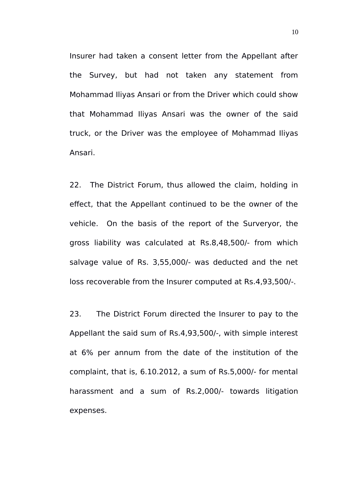Insurer had taken a consent letter from the Appellant after the Survey, but had not taken any statement from Mohammad Iliyas Ansari or from the Driver which could show that Mohammad Iliyas Ansari was the owner of the said truck, or the Driver was the employee of Mohammad Iliyas Ansari.

22. The District Forum, thus allowed the claim, holding in effect, that the Appellant continued to be the owner of the vehicle. On the basis of the report of the Surveryor, the gross liability was calculated at Rs.8,48,500/- from which salvage value of Rs. 3,55,000/- was deducted and the net loss recoverable from the Insurer computed at Rs.4,93,500/-.

23. The District Forum directed the Insurer to pay to the Appellant the said sum of Rs.4,93,500/-, with simple interest at 6% per annum from the date of the institution of the complaint, that is, 6.10.2012, a sum of Rs.5,000/- for mental harassment and a sum of Rs.2,000/- towards litigation expenses.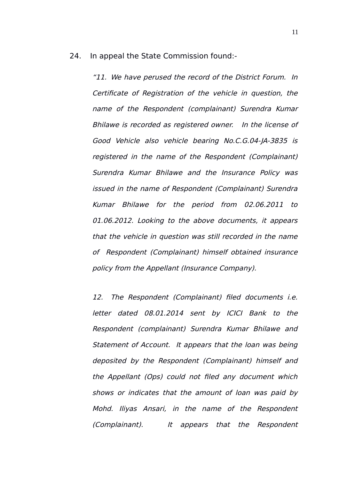#### 24. In appeal the State Commission found:-

"11. We have perused the record of the District Forum. In Certificate of Registration of the vehicle in question, the name of the Respondent (complainant) Surendra Kumar Bhilawe is recorded as registered owner. In the license of Good Vehicle also vehicle bearing No.C.G.04-JA-3835 is registered in the name of the Respondent (Complainant) Surendra Kumar Bhilawe and the Insurance Policy was issued in the name of Respondent (Complainant) Surendra Kumar Bhilawe for the period from 02.06.2011 to 01.06.2012. Looking to the above documents, it appears that the vehicle in question was still recorded in the name of Respondent (Complainant) himself obtained insurance policy from the Appellant (Insurance Company).

12. The Respondent (Complainant) filed documents i.e. letter dated 08.01.2014 sent by ICICI Bank to the Respondent (complainant) Surendra Kumar Bhilawe and Statement of Account. It appears that the loan was being deposited by the Respondent (Complainant) himself and the Appellant (Ops) could not filed any document which shows or indicates that the amount of loan was paid by Mohd. Iliyas Ansari, in the name of the Respondent (Complainant). It appears that the Respondent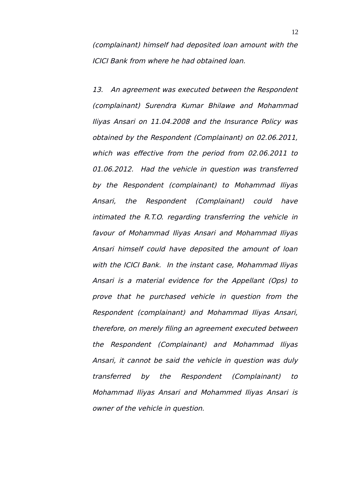(complainant) himself had deposited loan amount with the ICICI Bank from where he had obtained loan.

13. An agreement was executed between the Respondent (complainant) Surendra Kumar Bhilawe and Mohammad Iliyas Ansari on 11.04.2008 and the Insurance Policy was obtained by the Respondent (Complainant) on 02.06.2011, which was effective from the period from 02.06.2011 to 01.06.2012. Had the vehicle in question was transferred by the Respondent (complainant) to Mohammad Iliyas Ansari, the Respondent (Complainant) could have intimated the R.T.O. regarding transferring the vehicle in favour of Mohammad Iliyas Ansari and Mohammad Iliyas Ansari himself could have deposited the amount of loan with the ICICI Bank. In the instant case, Mohammad Iliyas Ansari is a material evidence for the Appellant (Ops) to prove that he purchased vehicle in question from the Respondent (complainant) and Mohammad Iliyas Ansari, therefore, on merely filing an agreement executed between the Respondent (Complainant) and Mohammad Iliyas Ansari, it cannot be said the vehicle in question was duly transferred by the Respondent (Complainant) to Mohammad Iliyas Ansari and Mohammed Iliyas Ansari is owner of the vehicle in question.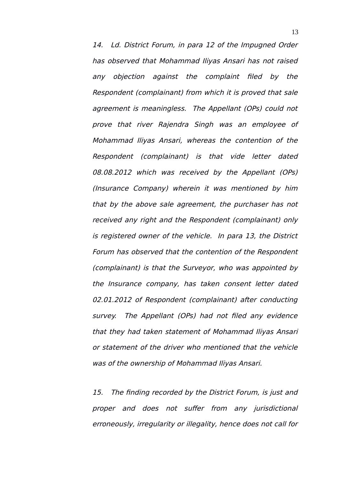14. Ld. District Forum, in para 12 of the Impugned Order has observed that Mohammad Iliyas Ansari has not raised any objection against the complaint filed by the Respondent (complainant) from which it is proved that sale agreement is meaningless. The Appellant (OPs) could not prove that river Rajendra Singh was an employee of Mohammad Iliyas Ansari, whereas the contention of the Respondent (complainant) is that vide letter dated 08.08.2012 which was received by the Appellant (OPs) (Insurance Company) wherein it was mentioned by him that by the above sale agreement, the purchaser has not received any right and the Respondent (complainant) only is registered owner of the vehicle. In para 13, the District Forum has observed that the contention of the Respondent (complainant) is that the Surveyor, who was appointed by the Insurance company, has taken consent letter dated 02.01.2012 of Respondent (complainant) after conducting survey. The Appellant (OPs) had not filed any evidence that they had taken statement of Mohammad Iliyas Ansari or statement of the driver who mentioned that the vehicle was of the ownership of Mohammad Iliyas Ansari.

15. The finding recorded by the District Forum, is just and proper and does not suffer from any jurisdictional erroneously, irregularity or illegality, hence does not call for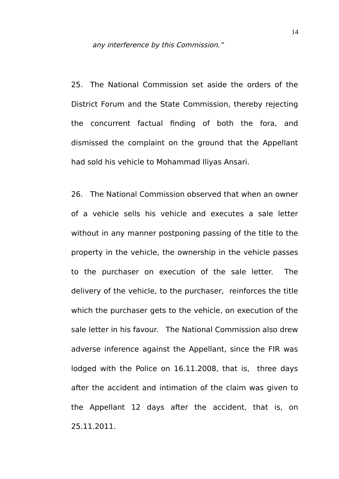#### any interference by this Commission."

25. The National Commission set aside the orders of the District Forum and the State Commission, thereby rejecting the concurrent factual finding of both the fora, and dismissed the complaint on the ground that the Appellant had sold his vehicle to Mohammad Iliyas Ansari.

26. The National Commission observed that when an owner of a vehicle sells his vehicle and executes a sale letter without in any manner postponing passing of the title to the property in the vehicle, the ownership in the vehicle passes to the purchaser on execution of the sale letter. The delivery of the vehicle, to the purchaser, reinforces the title which the purchaser gets to the vehicle, on execution of the sale letter in his favour. The National Commission also drew adverse inference against the Appellant, since the FIR was lodged with the Police on 16.11.2008, that is, three days after the accident and intimation of the claim was given to the Appellant 12 days after the accident, that is, on 25.11.2011.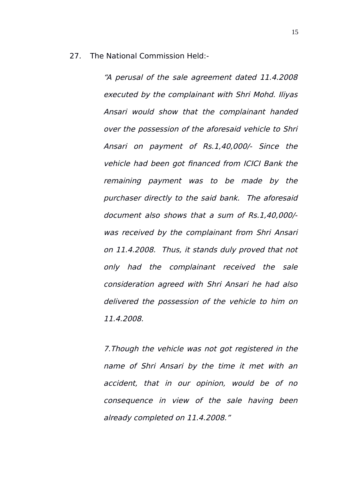27. The National Commission Held:-

"A perusal of the sale agreement dated 11.4.2008 executed by the complainant with Shri Mohd. Iliyas Ansari would show that the complainant handed over the possession of the aforesaid vehicle to Shri Ansari on payment of Rs.1,40,000/- Since the vehicle had been got financed from ICICI Bank the remaining payment was to be made by the purchaser directly to the said bank. The aforesaid document also shows that a sum of Rs.1,40,000/ was received by the complainant from Shri Ansari on 11.4.2008. Thus, it stands duly proved that not only had the complainant received the sale consideration agreed with Shri Ansari he had also delivered the possession of the vehicle to him on 11.4.2008.

7.Though the vehicle was not got registered in the name of Shri Ansari by the time it met with an accident, that in our opinion, would be of no consequence in view of the sale having been already completed on 11.4.2008."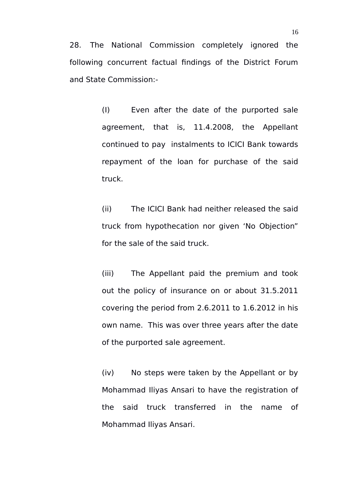28. The National Commission completely ignored the following concurrent factual findings of the District Forum and State Commission:-

> (I) Even after the date of the purported sale agreement, that is, 11.4.2008, the Appellant continued to pay instalments to ICICI Bank towards repayment of the loan for purchase of the said truck.

> (ii) The ICICI Bank had neither released the said truck from hypothecation nor given 'No Objection" for the sale of the said truck.

> (iii) The Appellant paid the premium and took out the policy of insurance on or about 31.5.2011 covering the period from 2.6.2011 to 1.6.2012 in his own name. This was over three years after the date of the purported sale agreement.

> (iv) No steps were taken by the Appellant or by Mohammad Iliyas Ansari to have the registration of the said truck transferred in the name of Mohammad Iliyas Ansari.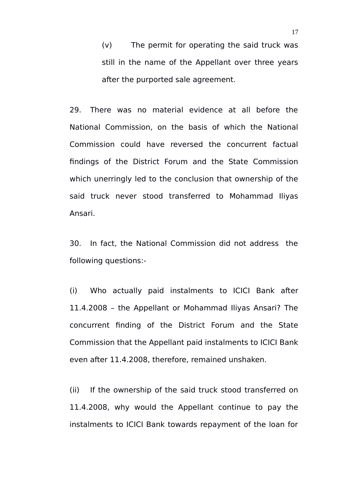(v) The permit for operating the said truck was still in the name of the Appellant over three years after the purported sale agreement.

29. There was no material evidence at all before the National Commission, on the basis of which the National Commission could have reversed the concurrent factual findings of the District Forum and the State Commission which unerringly led to the conclusion that ownership of the said truck never stood transferred to Mohammad Iliyas Ansari.

30. In fact, the National Commission did not address the following questions:-

(i) Who actually paid instalments to ICICI Bank after 11.4.2008 – the Appellant or Mohammad Iliyas Ansari? The concurrent finding of the District Forum and the State Commission that the Appellant paid instalments to ICICI Bank even after 11.4.2008, therefore, remained unshaken.

(ii) If the ownership of the said truck stood transferred on 11.4.2008, why would the Appellant continue to pay the instalments to ICICI Bank towards repayment of the loan for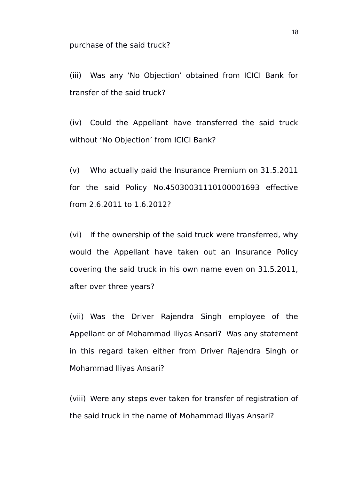purchase of the said truck?

(iii) Was any 'No Objection' obtained from ICICI Bank for transfer of the said truck?

(iv) Could the Appellant have transferred the said truck without 'No Objection' from ICICI Bank?

(v) Who actually paid the Insurance Premium on 31.5.2011 for the said Policy No.45030031110100001693 effective from 2.6.2011 to 1.6.2012?

(vi) If the ownership of the said truck were transferred, why would the Appellant have taken out an Insurance Policy covering the said truck in his own name even on 31.5.2011, after over three years?

(vii) Was the Driver Rajendra Singh employee of the Appellant or of Mohammad Iliyas Ansari? Was any statement in this regard taken either from Driver Rajendra Singh or Mohammad Iliyas Ansari?

(viii) Were any steps ever taken for transfer of registration of the said truck in the name of Mohammad Iliyas Ansari?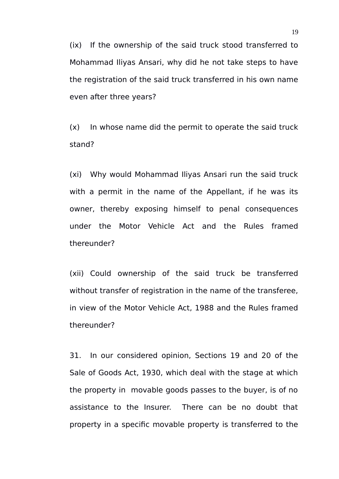(ix) If the ownership of the said truck stood transferred to Mohammad Iliyas Ansari, why did he not take steps to have the registration of the said truck transferred in his own name even after three years?

(x) In whose name did the permit to operate the said truck stand?

(xi) Why would Mohammad Iliyas Ansari run the said truck with a permit in the name of the Appellant, if he was its owner, thereby exposing himself to penal consequences under the Motor Vehicle Act and the Rules framed thereunder?

(xii) Could ownership of the said truck be transferred without transfer of registration in the name of the transferee, in view of the Motor Vehicle Act, 1988 and the Rules framed thereunder?

31. In our considered opinion, Sections 19 and 20 of the Sale of Goods Act, 1930, which deal with the stage at which the property in movable goods passes to the buyer, is of no assistance to the Insurer. There can be no doubt that property in a specific movable property is transferred to the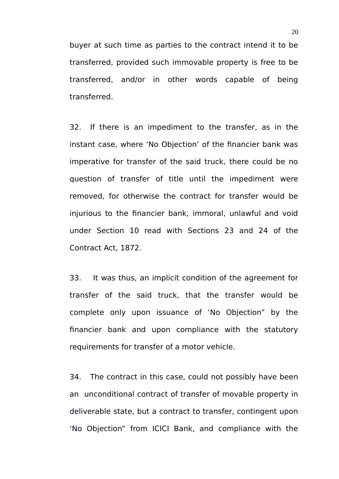buyer at such time as parties to the contract intend it to be transferred, provided such immovable property is free to be transferred, and/or in other words capable of being transferred.

32. If there is an impediment to the transfer, as in the instant case, where 'No Objection' of the financier bank was imperative for transfer of the said truck, there could be no question of transfer of title until the impediment were removed, for otherwise the contract for transfer would be injurious to the financier bank, immoral, unlawful and void under Section 10 read with Sections 23 and 24 of the Contract Act, 1872.

33. It was thus, an implicit condition of the agreement for transfer of the said truck, that the transfer would be complete only upon issuance of 'No Objection" by the financier bank and upon compliance with the statutory requirements for transfer of a motor vehicle.

34. The contract in this case, could not possibly have been an unconditional contract of transfer of movable property in deliverable state, but a contract to transfer, contingent upon 'No Objection" from ICICI Bank, and compliance with the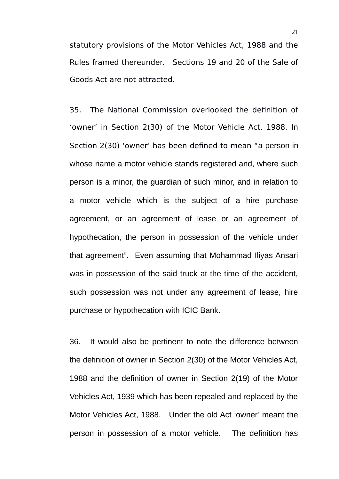statutory provisions of the Motor Vehicles Act, 1988 and the Rules framed thereunder. Sections 19 and 20 of the Sale of Goods Act are not attracted.

35. The National Commission overlooked the definition of 'owner' in Section 2(30) of the Motor Vehicle Act, 1988. In Section 2(30) 'owner' has been defined to mean "a person in whose name a motor vehicle stands registered and, where such person is a minor, the guardian of such minor, and in relation to a motor vehicle which is the subject of a hire purchase agreement, or an agreement of lease or an agreement of hypothecation, the person in possession of the vehicle under that agreement". Even assuming that Mohammad Iliyas Ansari was in possession of the said truck at the time of the accident, such possession was not under any agreement of lease, hire purchase or hypothecation with ICIC Bank.

36. It would also be pertinent to note the difference between the definition of owner in Section 2(30) of the Motor Vehicles Act, 1988 and the definition of owner in Section 2(19) of the Motor Vehicles Act, 1939 which has been repealed and replaced by the Motor Vehicles Act, 1988. Under the old Act 'owner' meant the person in possession of a motor vehicle. The definition has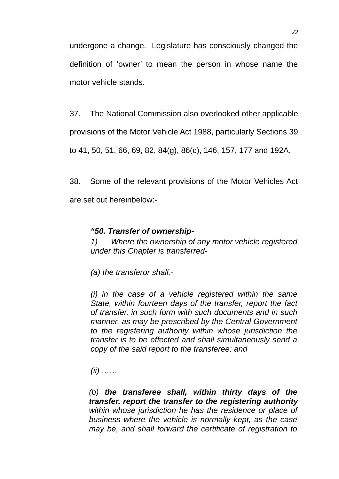undergone a change. Legislature has consciously changed the definition of 'owner' to mean the person in whose name the motor vehicle stands.

37. The National Commission also overlooked other applicable

provisions of the Motor Vehicle Act 1988, particularly Sections 39

to 41, 50, 51, 66, 69, 82, 84(g), 86(c), 146, 157, 177 and 192A.

38. Some of the relevant provisions of the Motor Vehicles Act are set out hereinbelow:-

# *"50. Transfer of ownership-*

*1) Where the ownership of any motor vehicle registered under this Chapter is transferred-*

*(a) the transferor shall,-*

*(i) in the case of a vehicle registered within the same State, within fourteen days of the transfer, report the fact of transfer, in such form with such documents and in such manner, as may be prescribed by the Central Government to the registering authority within whose jurisdiction the transfer is to be effected and shall simultaneously send a copy of the said report to the transferee; and*

*(ii) ……*

*(b) the transferee shall, within thirty days of the transfer, report the transfer to the registering authority within whose jurisdiction he has the residence or place of business where the vehicle is normally kept, as the case may be, and shall forward the certificate of registration to*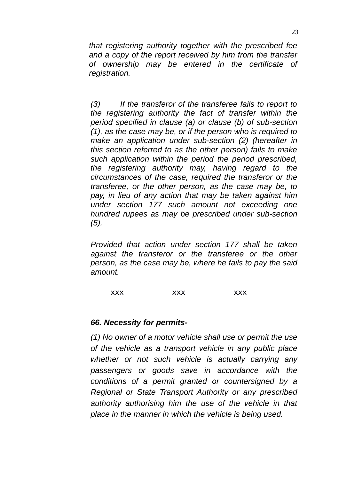*that registering authority together with the prescribed fee and a copy of the report received by him from the transfer of ownership may be entered in the certificate of registration.*

*(3) If the transferor of the transferee fails to report to the registering authority the fact of transfer within the period specified in clause (a) or clause (b) of sub-section (1), as the case may be, or if the person who is required to make an application under sub-section (2) (hereafter in this section referred to as the other person) fails to make such application within the period the period prescribed, the registering authority may, having regard to the circumstances of the case, required the transferor or the transferee, or the other person, as the case may be, to pay, in lieu of any action that may be taken against him under section 177 such amount not exceeding one hundred rupees as may be prescribed under sub-section (5).*

*Provided that action under section 177 shall be taken against the transferor or the transferee or the other person, as the case may be, where he fails to pay the said amount.* 

xxx xxx xxx

### *66. Necessity for permits-*

*(1) No owner of a motor vehicle shall use or permit the use of the vehicle as a transport vehicle in any public place whether or not such vehicle is actually carrying any passengers or goods save in accordance with the conditions of a permit granted or countersigned by a Regional or State Transport Authority or any prescribed authority authorising him the use of the vehicle in that place in the manner in which the vehicle is being used.*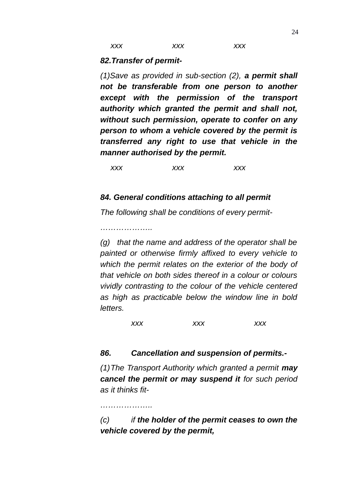### *82.Transfer of permit-*

*(1)Save as provided in sub-section (2), a permit shall not be transferable from one person to another except with the permission of the transport authority which granted the permit and shall not, without such permission, operate to confer on any person to whom a vehicle covered by the permit is transferred any right to use that vehicle in the manner authorised by the permit.*

*xxx xxx xxx*

# *84. General conditions attaching to all permit*

*The following shall be conditions of every permit-*

*………………..*

*………………..*

*(g) that the name and address of the operator shall be painted or otherwise firmly affixed to every vehicle to which the permit relates on the exterior of the body of that vehicle on both sides thereof in a colour or colours vividly contrasting to the colour of the vehicle centered as high as practicable below the window line in bold letters.* 

*xxx xxx xxx*

# *86. Cancellation and suspension of permits.-*

*(1)The Transport Authority which granted a permit may cancel the permit or may suspend it for such period as it thinks fit-*

*(c) if the holder of the permit ceases to own the vehicle covered by the permit,*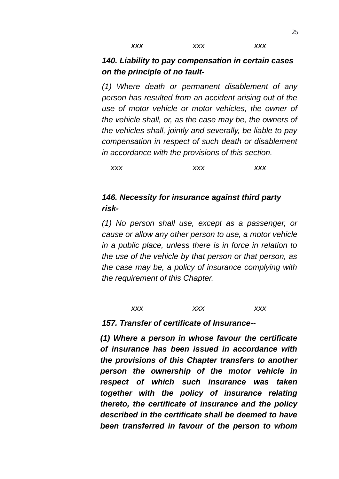# *140. Liability to pay compensation in certain cases on the principle of no fault-*

*(1) Where death or permanent disablement of any person has resulted from an accident arising out of the use of motor vehicle or motor vehicles, the owner of the vehicle shall, or, as the case may be, the owners of the vehicles shall, jointly and severally, be liable to pay compensation in respect of such death or disablement in accordance with the provisions of this section.*

*xxx xxx xxx*

# *146. Necessity for insurance against third party risk-*

*(1) No person shall use, except as a passenger, or cause or allow any other person to use, a motor vehicle in a public place, unless there is in force in relation to the use of the vehicle by that person or that person, as the case may be, a policy of insurance complying with the requirement of this Chapter.*

*xxx xxx xxx*

*157. Transfer of certificate of Insurance--*

*(1) Where a person in whose favour the certificate of insurance has been issued in accordance with the provisions of this Chapter transfers to another person the ownership of the motor vehicle in respect of which such insurance was taken together with the policy of insurance relating thereto, the certificate of insurance and the policy described in the certificate shall be deemed to have been transferred in favour of the person to whom*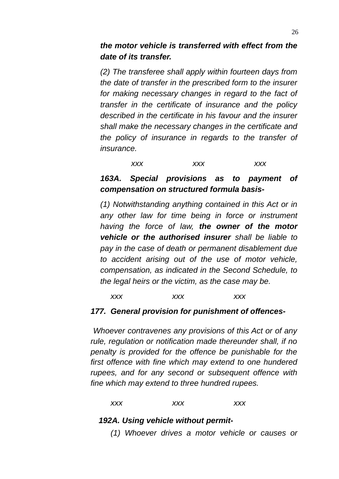# *the motor vehicle is transferred with effect from the date of its transfer.*

*(2) The transferee shall apply within fourteen days from the date of transfer in the prescribed form to the insurer for making necessary changes in regard to the fact of transfer in the certificate of insurance and the policy described in the certificate in his favour and the insurer shall make the necessary changes in the certificate and the policy of insurance in regards to the transfer of insurance.* 

*xxx xxx xxx*

# *163A. Special provisions as to payment of compensation on structured formula basis-*

*(1) Notwithstanding anything contained in this Act or in any other law for time being in force or instrument having the force of law, the owner of the motor vehicle or the authorised insurer shall be liable to pay in the case of death or permanent disablement due to accident arising out of the use of motor vehicle, compensation, as indicated in the Second Schedule, to the legal heirs or the victim, as the case may be.*

*xxx xxx xxx*

# *177. General provision for punishment of offences-*

 *Whoever contravenes any provisions of this Act or of any rule, regulation or notification made thereunder shall, if no penalty is provided for the offence be punishable for the first offence with fine which may extend to one hundered rupees, and for any second or subsequent offence with fine which may extend to three hundred rupees.* 

*xxx xxx xxx*

# *192A. Using vehicle without permit-*

*(1) Whoever drives a motor vehicle or causes or*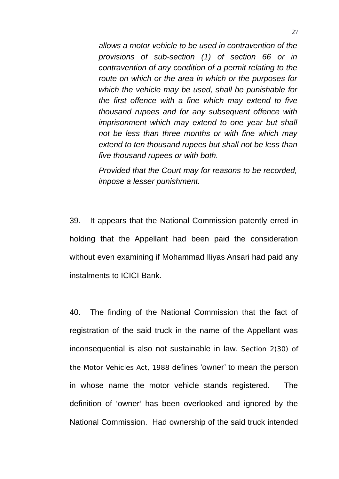*allows a motor vehicle to be used in contravention of the provisions of sub-section (1) of section 66 or in contravention of any condition of a permit relating to the route on which or the area in which or the purposes for which the vehicle may be used, shall be punishable for the first offence with a fine which may extend to five thousand rupees and for any subsequent offence with imprisonment which may extend to one year but shall not be less than three months or with fine which may extend to ten thousand rupees but shall not be less than five thousand rupees or with both.*

*Provided that the Court may for reasons to be recorded, impose a lesser punishment.*

39. It appears that the National Commission patently erred in holding that the Appellant had been paid the consideration without even examining if Mohammad Iliyas Ansari had paid any instalments to ICICI Bank.

40. The finding of the National Commission that the fact of registration of the said truck in the name of the Appellant was inconsequential is also not sustainable in law. Section 2(30) of the Motor Vehicles Act, 1988 defines 'owner' to mean the person in whose name the motor vehicle stands registered. The definition of 'owner' has been overlooked and ignored by the National Commission. Had ownership of the said truck intended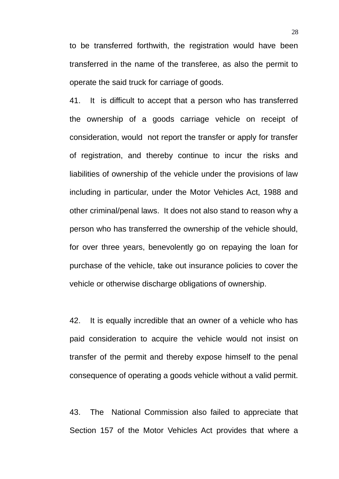to be transferred forthwith, the registration would have been transferred in the name of the transferee, as also the permit to operate the said truck for carriage of goods.

41. It is difficult to accept that a person who has transferred the ownership of a goods carriage vehicle on receipt of consideration, would not report the transfer or apply for transfer of registration, and thereby continue to incur the risks and liabilities of ownership of the vehicle under the provisions of law including in particular, under the Motor Vehicles Act, 1988 and other criminal/penal laws. It does not also stand to reason why a person who has transferred the ownership of the vehicle should, for over three years, benevolently go on repaying the loan for purchase of the vehicle, take out insurance policies to cover the vehicle or otherwise discharge obligations of ownership.

42. It is equally incredible that an owner of a vehicle who has paid consideration to acquire the vehicle would not insist on transfer of the permit and thereby expose himself to the penal consequence of operating a goods vehicle without a valid permit.

43. The National Commission also failed to appreciate that Section 157 of the Motor Vehicles Act provides that where a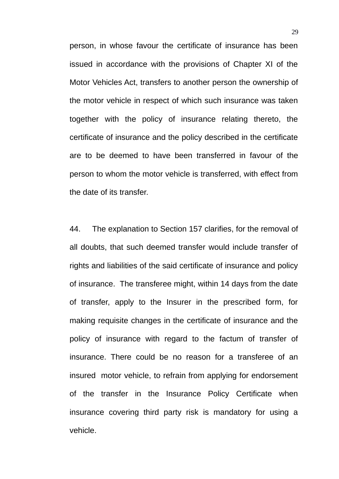person, in whose favour the certificate of insurance has been issued in accordance with the provisions of Chapter XI of the Motor Vehicles Act, transfers to another person the ownership of the motor vehicle in respect of which such insurance was taken together with the policy of insurance relating thereto, the certificate of insurance and the policy described in the certificate are to be deemed to have been transferred in favour of the person to whom the motor vehicle is transferred, with effect from the date of its transfer.

44. The explanation to Section 157 clarifies, for the removal of all doubts, that such deemed transfer would include transfer of rights and liabilities of the said certificate of insurance and policy of insurance. The transferee might, within 14 days from the date of transfer, apply to the Insurer in the prescribed form, for making requisite changes in the certificate of insurance and the policy of insurance with regard to the factum of transfer of insurance. There could be no reason for a transferee of an insured motor vehicle, to refrain from applying for endorsement of the transfer in the Insurance Policy Certificate when insurance covering third party risk is mandatory for using a vehicle.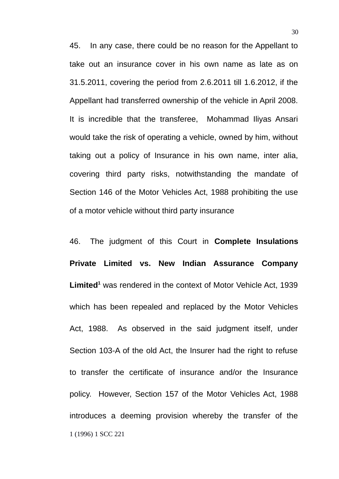45. In any case, there could be no reason for the Appellant to take out an insurance cover in his own name as late as on 31.5.2011, covering the period from 2.6.2011 till 1.6.2012, if the Appellant had transferred ownership of the vehicle in April 2008. It is incredible that the transferee, Mohammad Iliyas Ansari would take the risk of operating a vehicle, owned by him, without taking out a policy of Insurance in his own name, inter alia, covering third party risks, notwithstanding the mandate of Section 146 of the Motor Vehicles Act, 1988 prohibiting the use of a motor vehicle without third party insurance

<span id="page-29-0"></span>46. The judgment of this Court in **Complete Insulations Private Limited vs. New Indian Assurance Company Limited[1](#page-29-0)** was rendered in the context of Motor Vehicle Act, 1939 which has been repealed and replaced by the Motor Vehicles Act, 1988. As observed in the said judgment itself, under Section 103-A of the old Act, the Insurer had the right to refuse to transfer the certificate of insurance and/or the Insurance policy. However, Section 157 of the Motor Vehicles Act, 1988 introduces a deeming provision whereby the transfer of the 1 (1996) 1 SCC 221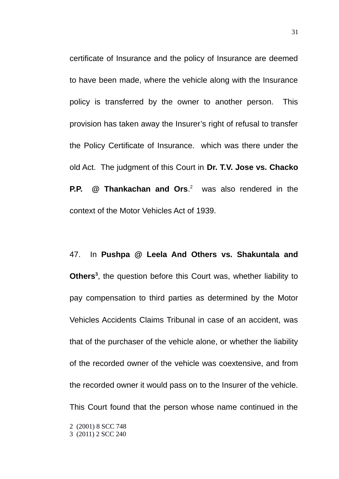certificate of Insurance and the policy of Insurance are deemed to have been made, where the vehicle along with the Insurance policy is transferred by the owner to another person. This provision has taken away the Insurer's right of refusal to transfer the Policy Certificate of Insurance. which was there under the old Act. The judgment of this Court in **Dr. T.V. Jose vs. Chacko P.P.** @ Thankachan and Ors.<sup>[2](#page-30-0)</sup> was also rendered in the context of the Motor Vehicles Act of 1939.

47. In **Pushpa @ Leela And Others vs. Shakuntala and Others[3](#page-30-1)** , the question before this Court was, whether liability to pay compensation to third parties as determined by the Motor Vehicles Accidents Claims Tribunal in case of an accident, was that of the purchaser of the vehicle alone, or whether the liability of the recorded owner of the vehicle was coextensive, and from the recorded owner it would pass on to the Insurer of the vehicle. This Court found that the person whose name continued in the 2 (2001) 8 SCC 748

<span id="page-30-1"></span><span id="page-30-0"></span><sup>3 (2011) 2</sup> SCC 240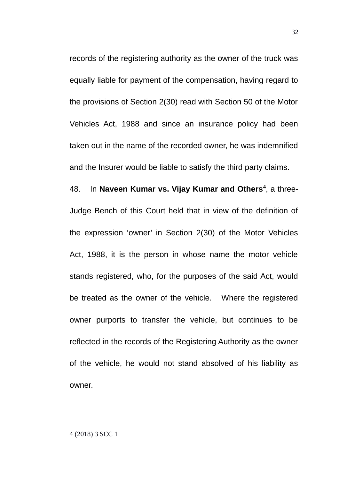records of the registering authority as the owner of the truck was equally liable for payment of the compensation, having regard to the provisions of Section 2(30) read with Section 50 of the Motor Vehicles Act, 1988 and since an insurance policy had been taken out in the name of the recorded owner, he was indemnified and the Insurer would be liable to satisfy the third party claims.

<span id="page-31-0"></span>48. In **Naveen Kumar vs. Vijay Kumar and Others[4](#page-31-0)** , a three-Judge Bench of this Court held that in view of the definition of the expression 'owner' in Section 2(30) of the Motor Vehicles Act, 1988, it is the person in whose name the motor vehicle stands registered, who, for the purposes of the said Act, would be treated as the owner of the vehicle. Where the registered owner purports to transfer the vehicle, but continues to be reflected in the records of the Registering Authority as the owner of the vehicle, he would not stand absolved of his liability as owner.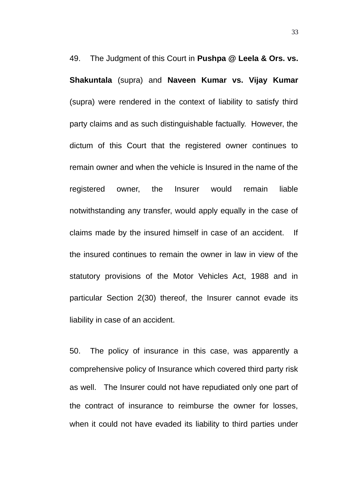49. The Judgment of this Court in **Pushpa @ Leela & Ors. vs. Shakuntala** (supra) and **Naveen Kumar vs. Vijay Kumar** (supra) were rendered in the context of liability to satisfy third party claims and as such distinguishable factually. However, the dictum of this Court that the registered owner continues to remain owner and when the vehicle is Insured in the name of the registered owner, the Insurer would remain liable notwithstanding any transfer, would apply equally in the case of claims made by the insured himself in case of an accident. If the insured continues to remain the owner in law in view of the statutory provisions of the Motor Vehicles Act, 1988 and in particular Section 2(30) thereof, the Insurer cannot evade its liability in case of an accident.

50. The policy of insurance in this case, was apparently a comprehensive policy of Insurance which covered third party risk as well. The Insurer could not have repudiated only one part of the contract of insurance to reimburse the owner for losses, when it could not have evaded its liability to third parties under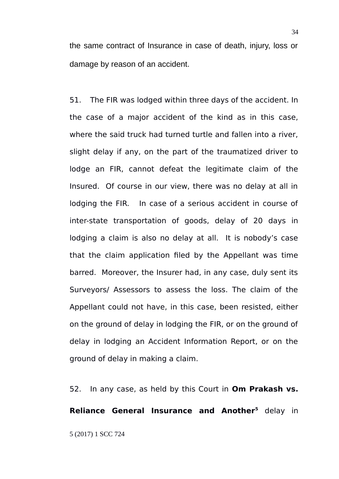the same contract of Insurance in case of death, injury, loss or damage by reason of an accident.

51. The FIR was lodged within three days of the accident. In the case of a major accident of the kind as in this case, where the said truck had turned turtle and fallen into a river. slight delay if any, on the part of the traumatized driver to lodge an FIR, cannot defeat the legitimate claim of the Insured. Of course in our view, there was no delay at all in lodging the FIR. In case of a serious accident in course of inter-state transportation of goods, delay of 20 days in lodging a claim is also no delay at all. It is nobody's case that the claim application filed by the Appellant was time barred. Moreover, the Insurer had, in any case, duly sent its Surveyors/ Assessors to assess the loss. The claim of the Appellant could not have, in this case, been resisted, either on the ground of delay in lodging the FIR, or on the ground of delay in lodging an Accident Information Report, or on the ground of delay in making a claim.

<span id="page-33-0"></span>52. In any case, as held by this Court in **Om Prakash vs. Reliance General Insurance and Another<sup>[5](#page-33-0)</sup> delay in** 5 (2017) 1 SCC 724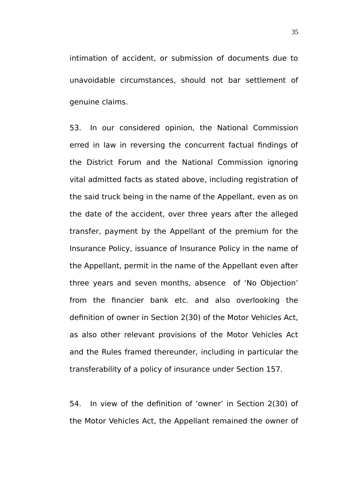intimation of accident, or submission of documents due to unavoidable circumstances, should not bar settlement of genuine claims.

53. In our considered opinion, the National Commission erred in law in reversing the concurrent factual findings of the District Forum and the National Commission ignoring vital admitted facts as stated above, including registration of the said truck being in the name of the Appellant, even as on the date of the accident, over three years after the alleged transfer, payment by the Appellant of the premium for the Insurance Policy, issuance of Insurance Policy in the name of the Appellant, permit in the name of the Appellant even after three years and seven months, absence of 'No Objection' from the financier bank etc. and also overlooking the definition of owner in Section 2(30) of the Motor Vehicles Act, as also other relevant provisions of the Motor Vehicles Act and the Rules framed thereunder, including in particular the transferability of a policy of insurance under Section 157.

54. In view of the definition of 'owner' in Section 2(30) of the Motor Vehicles Act, the Appellant remained the owner of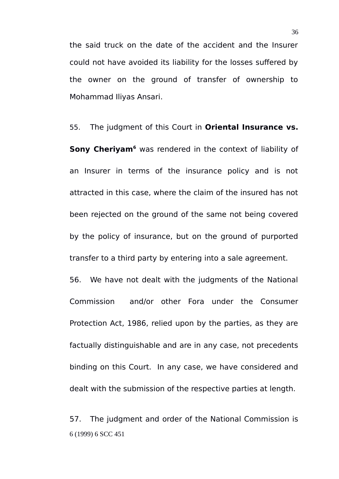the said truck on the date of the accident and the Insurer could not have avoided its liability for the losses suffered by the owner on the ground of transfer of ownership to Mohammad Iliyas Ansari.

55. The judgment of this Court in **Oriental Insurance vs. Sony Cheriyam<sup>[6](#page-35-0)</sup>** was rendered in the context of liability of an Insurer in terms of the insurance policy and is not attracted in this case, where the claim of the insured has not been rejected on the ground of the same not being covered by the policy of insurance, but on the ground of purported transfer to a third party by entering into a sale agreement.

56. We have not dealt with the judgments of the National Commission and/or other Fora under the Consumer Protection Act, 1986, relied upon by the parties, as they are factually distinguishable and are in any case, not precedents binding on this Court. In any case, we have considered and dealt with the submission of the respective parties at length.

<span id="page-35-0"></span>57. The judgment and order of the National Commission is 6 (1999) 6 SCC 451